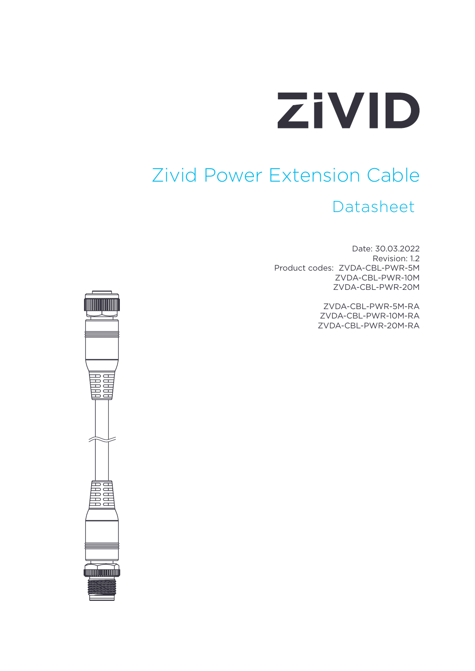

# Zivid Power Extension Cable

#### Datasheet

Date: 30.03.2022 Revision: 1.2 Product codes: ZVDA-CBL-PWR-5M ZVDA-CBL-PWR-10M ZVDA-CBL-PWR-20M

> ZVDA-CBL-PWR-5M-RA ZVDA-CBL-PWR-10M-RA ZVDA-CBL-PWR-20M-RA

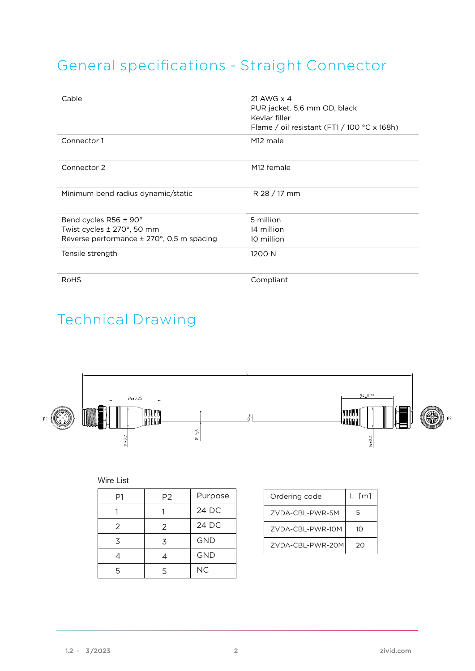### General specifications - Straight Connector

| Cable                                     | 21 AWG x 4<br>PUR jacket. 5,6 mm OD, black<br>Kevlar filler<br>Flame / oil resistant $(FT1/100 °C \times 168h)$ |
|-------------------------------------------|-----------------------------------------------------------------------------------------------------------------|
| Connector 1                               | M <sub>12</sub> male                                                                                            |
| Connector 2                               | M <sub>12</sub> female                                                                                          |
| Minimum bend radius dynamic/static        | R 28 / 17 mm                                                                                                    |
| Bend cycles R56 ± 90°                     | 5 million                                                                                                       |
| Twist cycles ± 270°, 50 mm                | 14 million                                                                                                      |
| Reverse performance ± 270°, 0,5 m spacing | 10 million                                                                                                      |
| Tensile strength                          | 1200 N                                                                                                          |
| <b>RoHS</b>                               | Compliant                                                                                                       |

### Technical Drawing



#### Wire List

| P1 | P <sub>2</sub> | Purpose    |
|----|----------------|------------|
|    |                | 24 DC      |
| 2  | 2              | 24 DC      |
| 3  | 3              | <b>GND</b> |
| 4  |                | <b>GND</b> |
| 5  | 5              | <b>NC</b>  |

| Ordering code    | $L$ $\lceil m \rceil$ |
|------------------|-----------------------|
| ZVDA-CBL-PWR-5M  | 5                     |
| ZVDA-CBL-PWR-10M | 10                    |
| ZVDA-CBL-PWR-20M | 20                    |